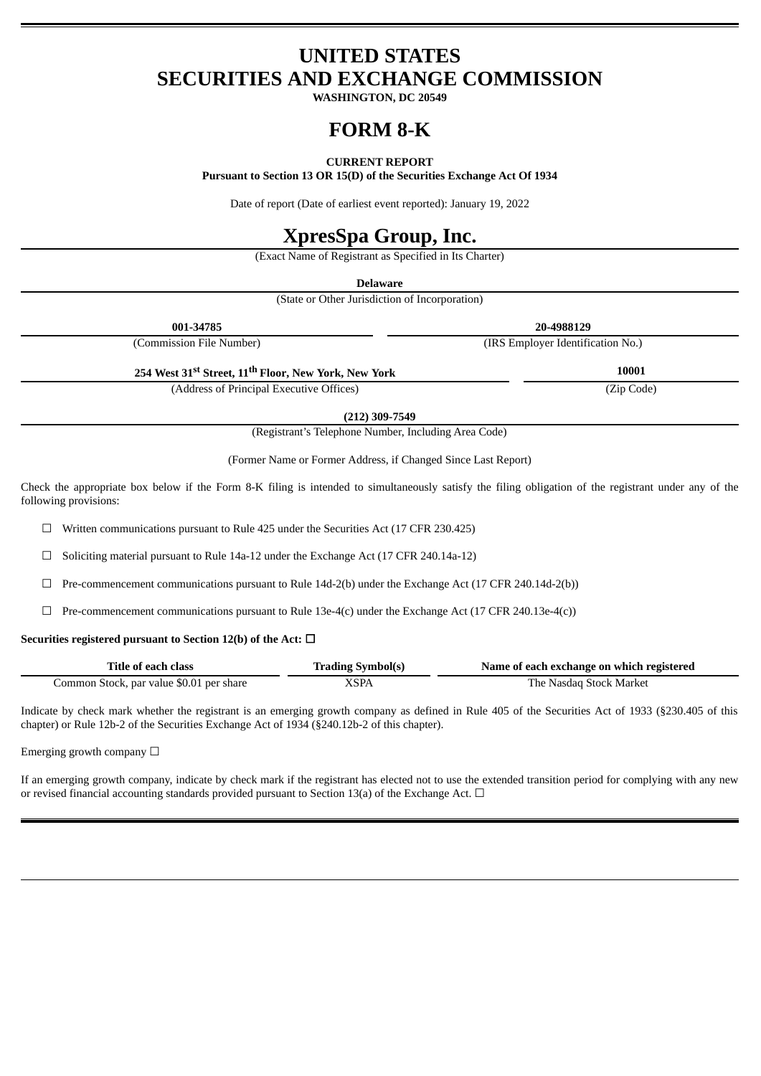# **UNITED STATES SECURITIES AND EXCHANGE COMMISSION**

**WASHINGTON, DC 20549**

# **FORM 8-K**

# **CURRENT REPORT**

**Pursuant to Section 13 OR 15(D) of the Securities Exchange Act Of 1934**

Date of report (Date of earliest event reported): January 19, 2022

# **XpresSpa Group, Inc.**

(Exact Name of Registrant as Specified in Its Charter)

**Delaware**

(State or Other Jurisdiction of Incorporation)

| 001-34785                                                                    | 20-4988129                        |
|------------------------------------------------------------------------------|-----------------------------------|
| (Commission File Number)                                                     | (IRS Employer Identification No.) |
| 254 West 31 <sup>st</sup> Street, 11 <sup>th</sup> Floor, New York, New York | 10001                             |
| (Address of Principal Executive Offices)                                     | (Zip Code)                        |

**(212) 309-7549**

(Registrant's Telephone Number, Including Area Code)

(Former Name or Former Address, if Changed Since Last Report)

Check the appropriate box below if the Form 8-K filing is intended to simultaneously satisfy the filing obligation of the registrant under any of the following provisions:

 $\Box$  Written communications pursuant to Rule 425 under the Securities Act (17 CFR 230.425)

☐ Soliciting material pursuant to Rule 14a-12 under the Exchange Act (17 CFR 240.14a-12)

 $\Box$  Pre-commencement communications pursuant to Rule 14d-2(b) under the Exchange Act (17 CFR 240.14d-2(b))

 $\Box$  Pre-commencement communications pursuant to Rule 13e-4(c) under the Exchange Act (17 CFR 240.13e-4(c))

# **Securities registered pursuant to Section 12(b) of the Act:** ☐

| Title of each class                      | <b>Trading Symbol(s)</b> | Name of each exchange on which registered |
|------------------------------------------|--------------------------|-------------------------------------------|
| Common Stock, par value \$0.01 per share | XSPA                     | The Nasdag Stock Market                   |

Indicate by check mark whether the registrant is an emerging growth company as defined in Rule 405 of the Securities Act of 1933 (§230.405 of this chapter) or Rule 12b-2 of the Securities Exchange Act of 1934 (§240.12b-2 of this chapter).

Emerging growth company  $\Box$ 

If an emerging growth company, indicate by check mark if the registrant has elected not to use the extended transition period for complying with any new or revised financial accounting standards provided pursuant to Section 13(a) of the Exchange Act.  $\Box$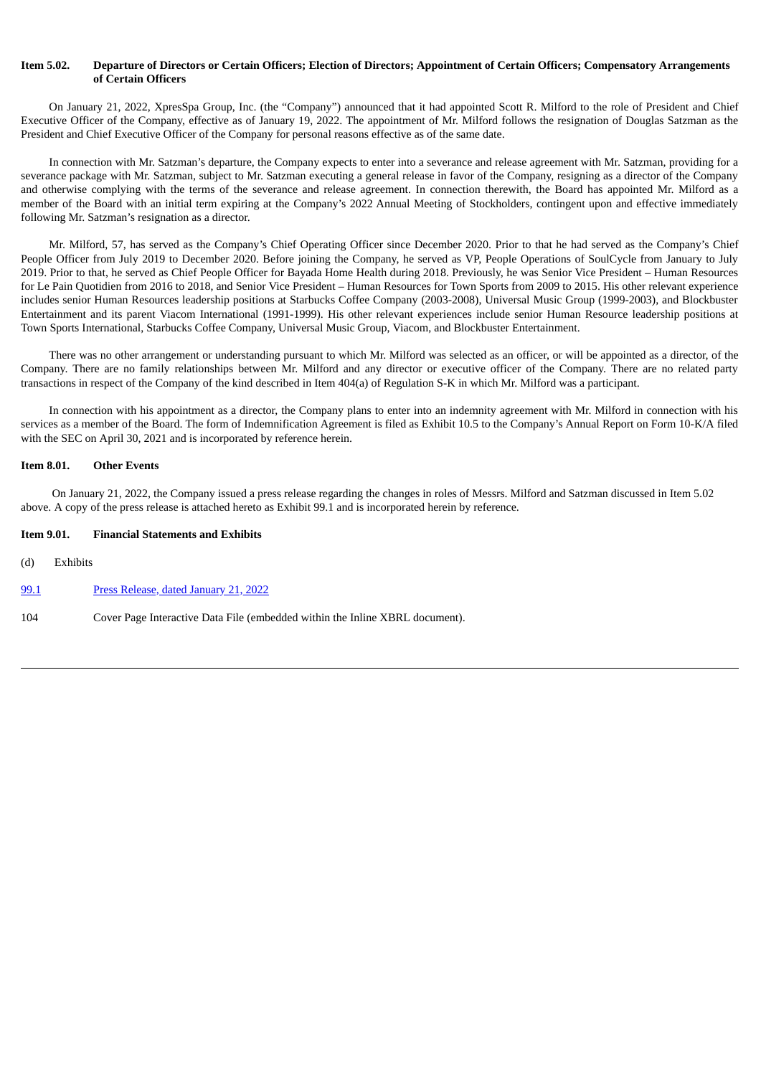# Item 5.02. Departure of Directors or Certain Officers: Election of Directors: Appointment of Certain Officers: Compensatory Arrangements **of Certain Officers**

On January 21, 2022, XpresSpa Group, Inc. (the "Company") announced that it had appointed Scott R. Milford to the role of President and Chief Executive Officer of the Company, effective as of January 19, 2022. The appointment of Mr. Milford follows the resignation of Douglas Satzman as the President and Chief Executive Officer of the Company for personal reasons effective as of the same date.

In connection with Mr. Satzman's departure, the Company expects to enter into a severance and release agreement with Mr. Satzman, providing for a severance package with Mr. Satzman, subject to Mr. Satzman executing a general release in favor of the Company, resigning as a director of the Company and otherwise complying with the terms of the severance and release agreement. In connection therewith, the Board has appointed Mr. Milford as a member of the Board with an initial term expiring at the Company's 2022 Annual Meeting of Stockholders, contingent upon and effective immediately following Mr. Satzman's resignation as a director.

Mr. Milford, 57, has served as the Company's Chief Operating Officer since December 2020. Prior to that he had served as the Company's Chief People Officer from July 2019 to December 2020. Before joining the Company, he served as VP, People Operations of SoulCycle from January to July 2019. Prior to that, he served as Chief People Officer for Bayada Home Health during 2018. Previously, he was Senior Vice President – Human Resources for Le Pain Quotidien from 2016 to 2018, and Senior Vice President – Human Resources for Town Sports from 2009 to 2015. His other relevant experience includes senior Human Resources leadership positions at Starbucks Coffee Company (2003-2008), Universal Music Group (1999-2003), and Blockbuster Entertainment and its parent Viacom International (1991-1999). His other relevant experiences include senior Human Resource leadership positions at Town Sports International, Starbucks Coffee Company, Universal Music Group, Viacom, and Blockbuster Entertainment.

There was no other arrangement or understanding pursuant to which Mr. Milford was selected as an officer, or will be appointed as a director, of the Company. There are no family relationships between Mr. Milford and any director or executive officer of the Company. There are no related party transactions in respect of the Company of the kind described in Item 404(a) of Regulation S-K in which Mr. Milford was a participant.

In connection with his appointment as a director, the Company plans to enter into an indemnity agreement with Mr. Milford in connection with his services as a member of the Board. The form of Indemnification Agreement is filed as Exhibit 10.5 to the Company's Annual Report on Form 10-K/A filed with the SEC on April 30, 2021 and is incorporated by reference herein.

#### **Item 8.01. Other Events**

On January 21, 2022, the Company issued a press release regarding the changes in roles of Messrs. Milford and Satzman discussed in Item 5.02 above. A copy of the press release is attached hereto as Exhibit 99.1 and is incorporated herein by reference.

## **Item 9.01. Financial Statements and Exhibits**

(d) Exhibits

[99.1](#page-3-0) Press [Release,](#page-3-0) dated January 21, 2022

104 Cover Page Interactive Data File (embedded within the Inline XBRL document).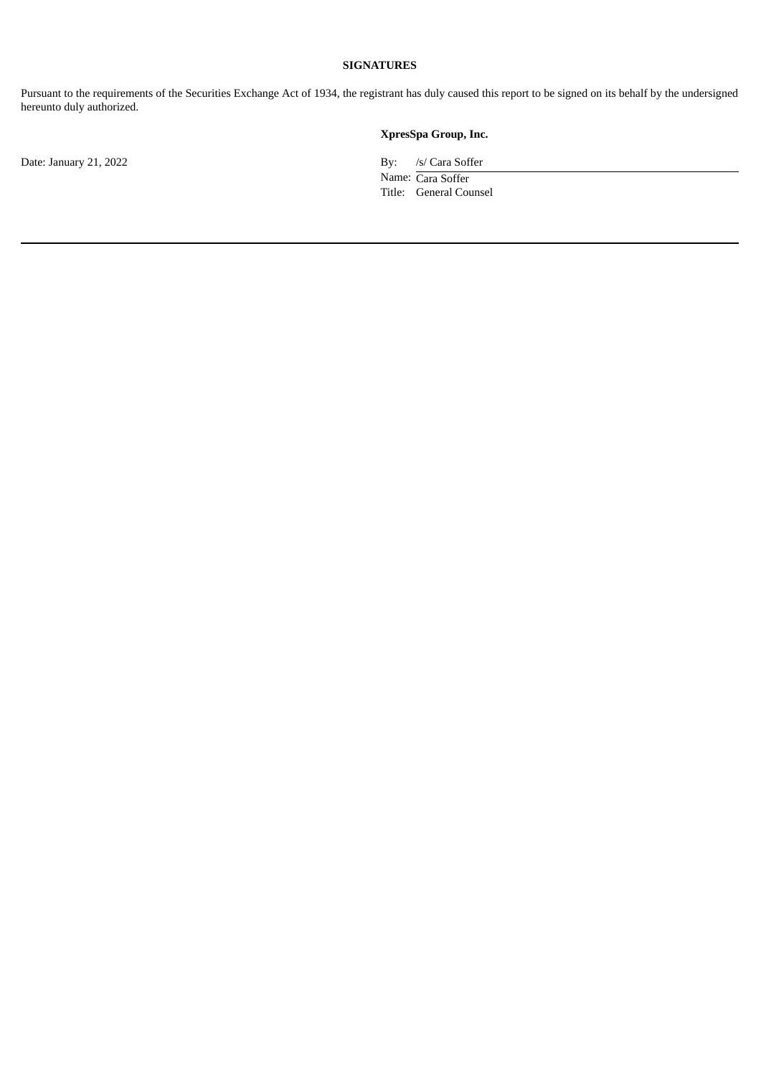# **SIGNATURES**

Pursuant to the requirements of the Securities Exchange Act of 1934, the registrant has duly caused this report to be signed on its behalf by the undersigned hereunto duly authorized.

Date: January 21, 2022 By: /s/ Cara Soffer

**XpresSpa Group, Inc.**

Name: Cara Soffer Title: General Counsel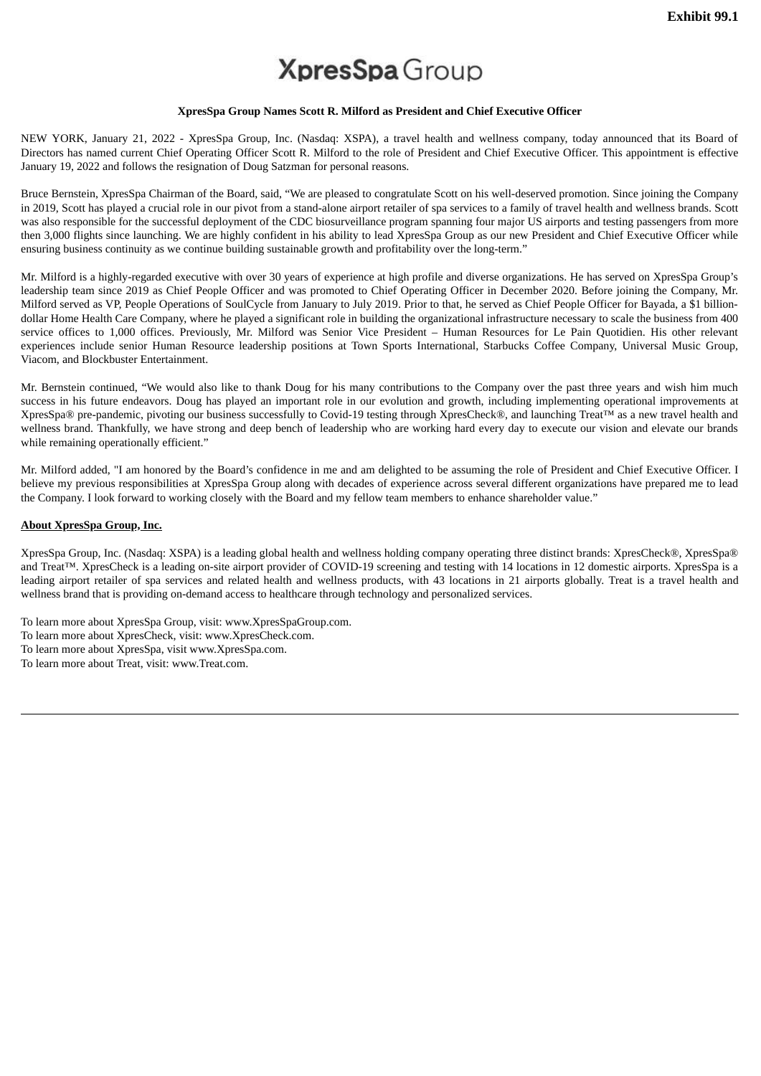# **XpresSpa** Group

## **XpresSpa Group Names Scott R. Milford as President and Chief Executive Officer**

<span id="page-3-0"></span>NEW YORK, January 21, 2022 - XpresSpa Group, Inc. (Nasdaq: XSPA), a travel health and wellness company, today announced that its Board of Directors has named current Chief Operating Officer Scott R. Milford to the role of President and Chief Executive Officer. This appointment is effective January 19, 2022 and follows the resignation of Doug Satzman for personal reasons.

Bruce Bernstein, XpresSpa Chairman of the Board, said, "We are pleased to congratulate Scott on his well-deserved promotion. Since joining the Company in 2019, Scott has played a crucial role in our pivot from a stand-alone airport retailer of spa services to a family of travel health and wellness brands. Scott was also responsible for the successful deployment of the CDC biosurveillance program spanning four major US airports and testing passengers from more then 3,000 flights since launching. We are highly confident in his ability to lead XpresSpa Group as our new President and Chief Executive Officer while ensuring business continuity as we continue building sustainable growth and profitability over the long-term."

Mr. Milford is a highly-regarded executive with over 30 years of experience at high profile and diverse organizations. He has served on XpresSpa Group's leadership team since 2019 as Chief People Officer and was promoted to Chief Operating Officer in December 2020. Before joining the Company, Mr. Milford served as VP, People Operations of SoulCycle from January to July 2019. Prior to that, he served as Chief People Officer for Bayada, a \$1 billiondollar Home Health Care Company, where he played a significant role in building the organizational infrastructure necessary to scale the business from 400 service offices to 1,000 offices. Previously, Mr. Milford was Senior Vice President – Human Resources for Le Pain Quotidien. His other relevant experiences include senior Human Resource leadership positions at Town Sports International, Starbucks Coffee Company, Universal Music Group, Viacom, and Blockbuster Entertainment.

Mr. Bernstein continued, "We would also like to thank Doug for his many contributions to the Company over the past three years and wish him much success in his future endeavors. Doug has played an important role in our evolution and growth, including implementing operational improvements at XpresSpa® pre-pandemic, pivoting our business successfully to Covid-19 testing through XpresCheck®, and launching Treat™ as a new travel health and wellness brand. Thankfully, we have strong and deep bench of leadership who are working hard every day to execute our vision and elevate our brands while remaining operationally efficient."

Mr. Milford added, "I am honored by the Board's confidence in me and am delighted to be assuming the role of President and Chief Executive Officer. I believe my previous responsibilities at XpresSpa Group along with decades of experience across several different organizations have prepared me to lead the Company. I look forward to working closely with the Board and my fellow team members to enhance shareholder value."

# **About XpresSpa Group, Inc.**

XpresSpa Group, Inc. (Nasdaq: XSPA) is a leading global health and wellness holding company operating three distinct brands: XpresCheck®, XpresSpa® and Treat™. XpresCheck is a leading on-site airport provider of COVID-19 screening and testing with 14 locations in 12 domestic airports. XpresSpa is a leading airport retailer of spa services and related health and wellness products, with 43 locations in 21 airports globally. Treat is a travel health and wellness brand that is providing on-demand access to healthcare through technology and personalized services.

To learn more about XpresSpa Group, visit: www.XpresSpaGroup.com. To learn more about XpresCheck, visit: www.XpresCheck.com. To learn more about XpresSpa, visit www.XpresSpa.com. To learn more about Treat, visit: www.Treat.com.